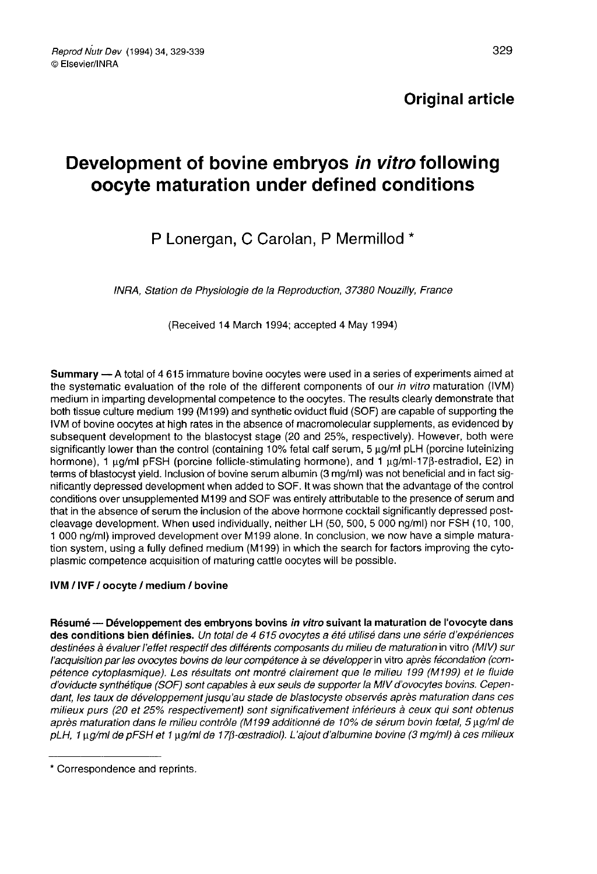# Development of bovine embryos in vitro following oocyte maturation under defined conditions

## P Lonergan, C Carolan, P Mermillod \*

INRA, Station de Physiologie de la Reproduction, 37380 Nouzilly, France

(Received 14 March 1994; accepted 4 May 1994)

Summary - A total of 4 615 immature bovine oocytes were used in a series of experiments aimed at the systematic evaluation of the role of the different components of our in vitro maturation (IVM) medium in imparting developmental competence to the oocytes. The results clearly demonstrate that both tissue culture medium 199 (M199) and synthetic oviduct fluid (SOF) are capable of supporting the IVM of bovine oocytes at high rates in the absence of macromolecular supplements, as evidenced by subsequent development to the blastocyst stage (20 and 25%, respectively). However, both were significantly lower than the control (containing 10% fetal calf serum,  $5 \mu q/m$  pLH (porcine luteinizing hormone), 1  $\mu$ g/ml pFSH (porcine follicle-stimulating hormone), and 1  $\mu$ g/ml-17 $\beta$ -estradiol, E2) in terms of blastocyst yield. Inclusion of bovine serum albumin (3 mg/ml) was not beneficial and in fact significantly depressed development when added to SOF. It was shown that the advantage of the control conditions over unsupplemented M199 and SOF was entirely attributable to the presence of serum and that in the absence of serum the inclusion of the above hormone cocktail significantly depressed postcleavage development. When used individually, neither LH (50, 500, 5 000 ng/ml) nor FSH (10, 100, 1 000 ng/ml) improved development over M199 alone. In conclusion, we now have a simple maturation system, using a fully defined medium (M199) in which the search for factors improving the cytoplasmic competence acquisition of maturing cattle oocytes will be possible.

## IVM / IVF / oocyte / medium / bovine

Résumé — Développement des embryons bovins in vitro suivant la maturation de l'ovocyte dans des conditions bien définies. Un total de 4 615 ovocytes a été utilisé dans une série d'expériences destinées à évaluer l'effet respectif des différents composants du milieu de maturation in vitro (MIV) sur l'acquisition par les ovocytes bovins de leur compétence à se développer in vitro après fécondation (compétence cytoplasmique). Les résultats ont montré clairement que le milieu 199 (M199) et le fluide d'oviducte synthétique (SOF) sont capables à eux seuls de supporter la MIV d'ovocytes bovins. Cependant, les taux de développement jusqu'au stade de blastocyste observés après maturation dans ces milieux purs (20 et 25% respectivement) sont significativement inférieurs à ceux qui sont obtenus après maturation dans le milieu contrôle (M199 additionné de 10% de sérum bovin fœtal, 5 µg/ml de pLH, 1 ug/ml de pFSH et 1 ug/ml de 17ß-cestradiol). L'ajout d'albumine bovine (3 mg/ml) à ces milieux

<sup>\*</sup> Correspondence and reprints.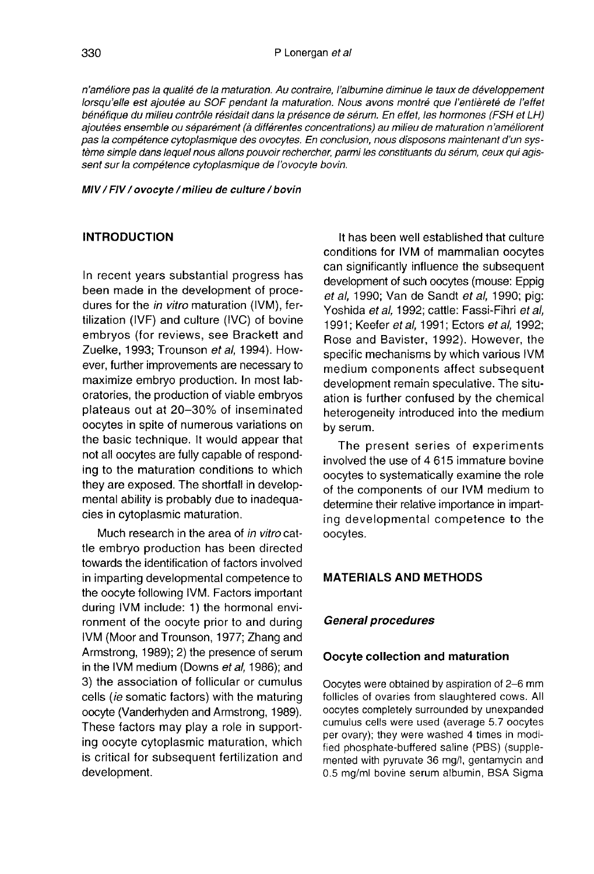n'améliore pas la qualité de la maturation. Au contraire, l'albumine diminue le taux de développement lorsqu'elle est ajoutée au SOF pendant la maturation. Nous avons montré que l'entièreté de l'effet bénéfique du milieu contrôle résidait dans la présence de sérum. En effet, les hormones (FSH et LH) ajoutées ensemble ou séparément (à différentes concentrations) au milieu de maturation n'améliorent pas la compétence cytoplasmique des ovocytes. En conclusion, nous disposons maintenant d'un système simple dans lequel nous allons pouvoir rechercher, parmi les constituants du sérum, ceux qui agissent sur la compétence cytoplasmique de l'ovocyte bovin.

#### MIV / FIV / ovocyte / milieu de culture / bovin

#### INTRODUCTION

In recent years substantial progress has been made in the development of procedures for the in vitro maturation (IVM), fertilization (IVF) and culture (IVC) of bovine embryos (for reviews, see Brackett and Zuelke, 1993; Trounson et al, 1994). However, further improvements are necessary to maximize embryo production. In most laboratories, the production of viable embryos plateaus out at 20-30% of inseminated oocytes in spite of numerous variations on the basic technique. It would appear that not all oocytes are fully capable of responding to the maturation conditions to which they are exposed. The shortfall in developmental ability is probably due to inadequacies in cytoplasmic maturation.

Much research in the area of in vitro cattle embryo production has been directed towards the identification of factors involved in imparting developmental competence to the oocyte following IVM. Factors important during IVM include: 1) the hormonal environment of the oocyte prior to and during IVM (Moor and Trounson, 1977; Zhang and Armstrong, 1989); 2) the presence of serum in the IVM medium (Downs et al. 1986); and 3) the association of follicular or cumulus cells (ie somatic factors) with the maturing oocyte (Vanderhyden and Armstrong, 1989). These factors may play a role in supporting oocyte cytoplasmic maturation, which is critical for subsequent fertilization and development.

It has been well established that culture conditions for IVM of mammalian oocytes can significantly influence the subsequent development of such oocytes (mouse: Eppig et al, 1990; Van de Sandt et al, 1990; pig: Yoshida et al, 1992; cattle: Fassi-Fihri et al, 1991; Keefer et al, 1991; Ectors et al, 1992; Rose and Bavister, 1992). However, the specific mechanisms by which various IVM medium components affect subsequent development remain speculative. The situation is further confused by the chemical heterogeneity introduced into the medium by serum.

The present series of experiments involved the use of 4 615 immature bovine oocytes to systematically examine the role of the components of our IVM medium to determine their relative importance in imparting developmental competence to the oocytes.

#### MATERIALS AND METHODS

#### General procedures

#### Oocyte collection and maturation

Oocytes were obtained by aspiration of 2-6 mm follicles of ovaries from slaughtered cows. All oocytes completely surrounded by unexpanded cumulus cells were used (average 5.7 oocytes per ovary); they were washed 4 times in modified phosphate-buffered saline (PBS) (supplemented with pyruvate 36 mg/!, gentamycin and 0.5 mg/ml bovine serum albumin, BSA Sigma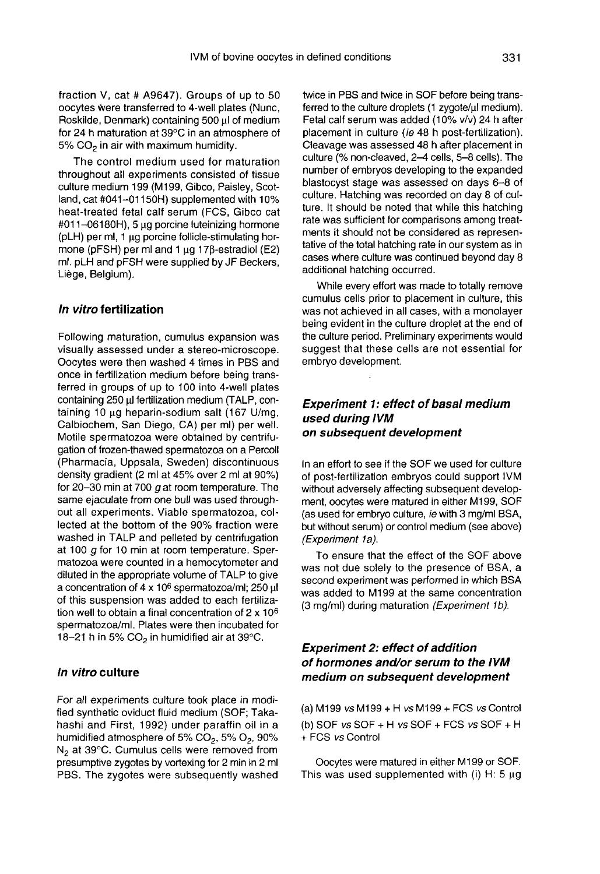fraction V, cat # A9647). Groups of up to 50 oocytes were transferred to 4-well plates (Nunc, Roskilde, Denmark) containing 500 ul of medium for 24 h maturation at 39°C in an atmosphere of<br>5% CO<sub>2</sub> in air with maximum humidity.<br>————————————————————

The control medium used for maturation throughout all experiments consisted of tissue culture medium 199 (M199, Gibco, Paisley, Scotland, cat #041-01150H) supplemented with 10% heat-treated fetal calf serum (FCS, Gibco cat #011-06180H), 5 gg porcine luteinizing hormone (pLH) per ml, 1 wg porcine follicle-stimulating hormone ( $pFSH$ ) per ml and 1  $\mu$ g 17 $\beta$ -estradiol (E2) ml. pLH and pFSH were supplied by JF Beckers, Liege, Belgium).

#### In vitro fertilization

Following maturation, cumulus expansion was visually assessed under a stereo-microscope. Oocytes were then washed 4 times in PBS and once in fertilization medium before being transferred in groups of up to 100 into 4-well plates containing 250 µl fertilization medium (TALP, containing 10  $\mu$ g heparin-sodium salt (167 U/mg, Calbiochem, San Diego, CA) per ml) per well. Motile spermatozoa were obtained by centrifugation of frozen-thawed spermatozoa on a Percoll (Pharmacia, Uppsala, Sweden) discontinuous density gradient (2 ml at 45% over 2 ml at 90%) for 20-30 min at 700  $\sigma$  at room temperature. The same ejaculate from one bull was used through out all experiments. Viable spermatozoa, collected at the bottom of the 90% fraction were washed in TALP and pelleted by centrifugation at 100 g for 10 min at room temperature. Sper matozoa were counted in a hemocytometer and<br>diluted in the appropriate volume of TALP to give a concentration of 4 x 10<sup>6</sup> spermatozoa/ml; 250 pl of this suspension was added to each fertilization well to obtain a final concentration of 2 x 106 spermatozoa/ml. Plates were then incubated for 18-21 h in 5%  $CO<sub>2</sub>$  in humidified air at 39 $^{\circ}$ C.

#### In vitro culture

For all experiments culture took place in modified synthetic oviduct fluid medium (SOF; Takahashi and First, 1992) under paraffin oil in a humidified atmosphere of 5%  $CO<sub>2</sub>$ , 5%  $O<sub>2</sub>$ , 90%  $N<sub>2</sub>$  at 39°C. Cumulus cells were removed from presumptive zygotes by vortexing for 2 min in 2 ml PBS. The zygotes were subsequently washed

twice in PBS and twice in SOF before being transfwice in PBS and twice in SOF before being transferred to the culture droplets (1 zygote/ $\mu$ l medium).<br>Fetal calf serum was added (10% v/v) 24 h after Fetal calf serum was added (10% v/v) 24 h after placement in culture (ie 48 h post-fertilization). Cleavage was assessed 48 h after placement in culture (% non-cleaved, 2-4 cells, 5-8 cells). The number of embryos developing to the expanded blastocyst stage was assessed on days 6-8 of culture. Hatching was recorded on day 8 of culture. It should be noted that while this hatching rate was sufficient for comparisons among treatments it should not be considered as representative of the total hatching rate in our system as in cases where culture was continued beyond day 8 additional hatching occurred.

While every effort was made to totally remove cumulus cells prior to placement in culture, this was not achieved in all cases, with a monolayer being evident in the culture droplet at the end of the culture period. Preliminary experiments would suggest that these cells are not essential for embryo development.

#### Experiment 1: effect of basal medium used during IVM on subsequent development

In an effort to see if the SOF we used for culture of post-fertilization embryos could support IVM without adversely affecting subsequent development, oocytes were matured in either M199, SOF (as used for embryo culture, ie with 3 mg/ml BSA, but without serum) or control medium (see above) (Experiment 1a).

To ensure that the effect of the SOF above was not due solely to the presence of BSA, a second experiment was performed in which BSA was added to M199 at the same concentration (3 mg/ml) during maturation (Experiment 16).

## Experiment 2: effect of addition of hormones and/or serum to the IVM medium on subsequent development

(a) M199 vs M199 + H vs M199 + FCS vs Control (b) SOF vs SOF + H vs SOF + FCS vs SOF + H + FCS vs Control

Oocytes were matured in either M199 or SOF. This was used supplemented with (i) H:  $5 \mu g$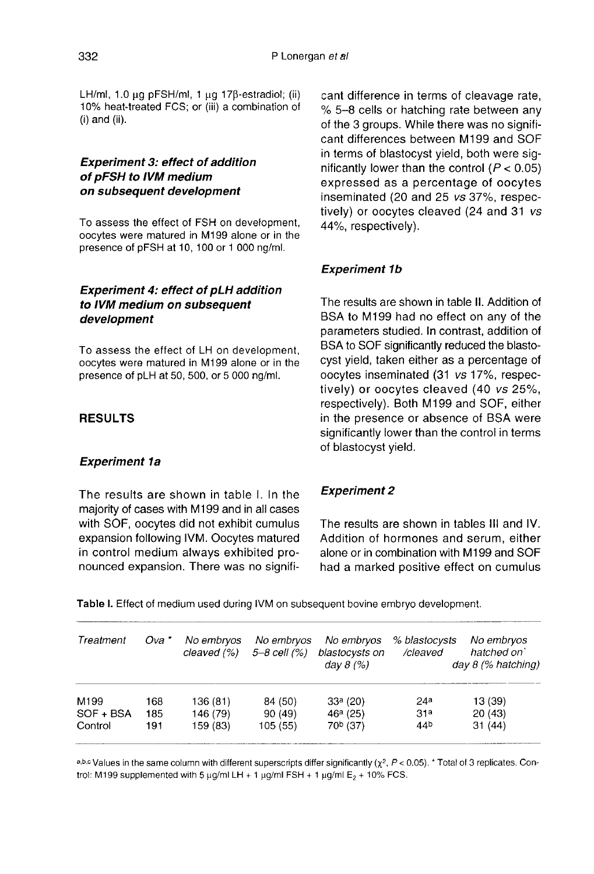LH/ml, 1.0  $\mu$ g pFSH/ml, 1  $\mu$ g 17 $\beta$ -estradiol; (ii) 10% heat-treated FCS; or (iii) a combination of (i) and (ii).

## Experiment 3: effect of addition of pFSH to IVM medium on subsequent development

To assess the effect of FSH on development, oocytes were matured in M199 alone or in the presence of pFSH at 10, 100 or 1 000 ng/ml.

## Experiment 4: effect of pLH addition to IVM medium on subsequent development

To assess the effect of LH on development, oocytes were matured in M199 alone or in the presence of pLH at 50, 500, or 5 000 ng/ml.

## RESULTS

## Experiment la

The results are shown in table I. In the majority of cases with M199 and in all cases with SOF, oocytes did not exhibit cumulus expansion following IVM. Oocytes matured in control medium always exhibited pronounced expansion. There was no significant difference in terms of cleavage rate, % 5-8 cells or hatching rate between any of the 3 groups. While there was no significant differences between M199 and SOF in terms of blastocyst yield, both were significantly lower than the control  $(P < 0.05)$ expressed as a percentage of oocytes inseminated (20 and 25 vs 37%, respectively) or oocytes cleaved (24 and 31 vs 44%, respectively).

## Experiment 1b

The results are shown in table II. Addition of BSA to M199 had no effect on any of the parameters studied. In contrast, addition of BSA to SOF significantly reduced the blastocyst yield, taken either as a percentage of oocytes inseminated (31 vs 17%, respectively) or oocytes cleaved (40 vs 25%, respectively). Both M199 and SOF, either in the presence or absence of BSA were significantly lower than the control in terms of blastocyst yield.

## Experiment 2

The results are shown in tables III and IV. Addition of hormones and serum, either alone or in combination with M199 and SOF had a marked positive effect on cumulus

Table I. Effect of medium used during IVM on subsequent bovine embryo development.

| Treatment | Ova * | No embryos<br>cleaved (%) | No embryos<br>$5 - 8$ cell $(%)$ | No embryos<br>blastocysts on<br>day $8(%)$ | % blastocysts<br>/cleaved | No embryos<br>hatched on<br>$day 8$ (% hatching) |
|-----------|-------|---------------------------|----------------------------------|--------------------------------------------|---------------------------|--------------------------------------------------|
| M199      | 168   | 136 (81)                  | 84 (50)                          | $33a$ (20)                                 | 24a                       | 13 (39)                                          |
| SOF + BSA | 185   | 146 (79)                  | 90(49)                           | $46a$ (25)                                 | 31 <sup>a</sup>           | 20(43)                                           |
| Control   | 191   | 159 (83)                  | 105(55)                          | 70 <sup>b</sup> (37)                       | 44 <sup>b</sup>           | 31(44)                                           |

a,b.c Values in the same column with different superscripts differ significantly ( $\chi^2$ ,  $P < 0.05$ ). \* Total of 3 replicates. Control: M199 supplemented with 5  $\mu$ g/ml LH + 1  $\mu$ g/ml FSH + 1  $\mu$ g/ml E<sub>2</sub> + 10% FCS.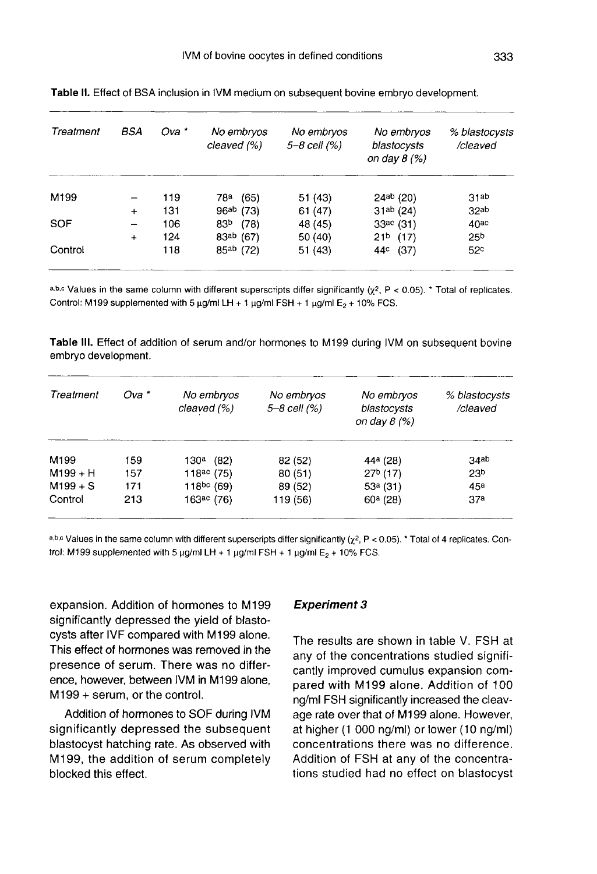| Treatment        | BSA       | Ova * | No embryos<br>cleaved (%) | No embryos<br>5-8 cell (%) | No embryos<br>blastocysts<br>on day $8$ (%) | % blastocysts<br>/cleaved |
|------------------|-----------|-------|---------------------------|----------------------------|---------------------------------------------|---------------------------|
| M <sub>199</sub> |           | 119   | (65)<br>78ª               | 51 (43)                    | 24ab(20)                                    | 31ab                      |
|                  | $+$       | 131   | 96ab (73)                 | 61(47)                     | $31ab$ (24)                                 | 32ab                      |
| <b>SOF</b>       |           | 106   | 83 <sup>b</sup><br>(78)   | 48 (45)                    | 33ac(31)                                    | $40^{\circ}$              |
|                  | $\ddot{}$ | 124   | 83ab (67)                 | 50 (40)                    | $21b$ (17)                                  | 25 <sup>b</sup>           |
| Control          |           | 118   | 85ab (72)                 | 51(43)                     | (37)<br>44¢                                 | 52c                       |

Table II. Effect of BSA inclusion in IVM medium on subsequent bovine embryo development.

a.b.c Values in the same column with different superscripts differ significantly  $(x^2, P < 0.05)$ . Total of replicates. Control: M199 supplemented with 5  $\mu$ g/mi LH + 1  $\mu$ g/ml FSH + 1  $\mu$ g/ml E<sub>2</sub> + 10% FCS.

Table III. Effect of addition of serum and/or hormones to M199 during IVM on subsequent bovine embryo development.

| Treatment  | Ova * | No embryos<br>cleaved (%) | No embryos<br>5-8 cell (%) | No embryos<br>blastocysts<br>on day $8$ (%) | % blastocysts<br>/cleaved |
|------------|-------|---------------------------|----------------------------|---------------------------------------------|---------------------------|
| M199       | 159   | 130 <sup>a</sup> (82)     | 82 (52)                    | 44 <sup>a</sup> (28)                        | 34ab                      |
| $M199 + H$ | 157   | 118 $ac(75)$              | 80(51)                     | $27b$ (17)                                  | 23 <sup>b</sup>           |
| $M199 + S$ | 171   | 118pc(69)                 | 89 (52)                    | $53a$ (31)                                  | 45 <sup>a</sup>           |
| Control    | 213   | $163ac$ (76)              | 119 (56)                   | $60a$ (28)                                  | 37 <sup>a</sup>           |

a,b,c Values in the same column with different superscripts differ significantly ( $\chi^2$ , P < 0.05). \* Total of 4 replicates. Control: M199 supplemented with 5  $\mu$ g/ml LH + 1  $\mu$ g/ml FSH + 1  $\mu$ g/ml E<sub>2</sub> + 10% FCS.

expansion. Addition of hormones to M199 significantly depressed the yield of blastocysts after IVF compared with M199 alone. This effect of hormones was removed in the presence of serum. There was no difference, however, between IVM in M199 alone, M199 + serum, or the control.

Addition of hormones to SOF during IVM significantly depressed the subsequent blastocyst hatching rate. As observed with M199, the addition of serum completely blocked this effect.

#### Experiment 3

The results are shown in table V. FSH at any of the concentrations studied significantly improved cumulus expansion compared with M199 alone. Addition of 100 ng/ml FSH significantly increased the cleavage rate over that of M199 alone. However, at higher (1 000 ng/ml) or lower (10 ng/ml) concentrations there was no difference. Addition of FSH at any of the concentrations studied had no effect on blastocyst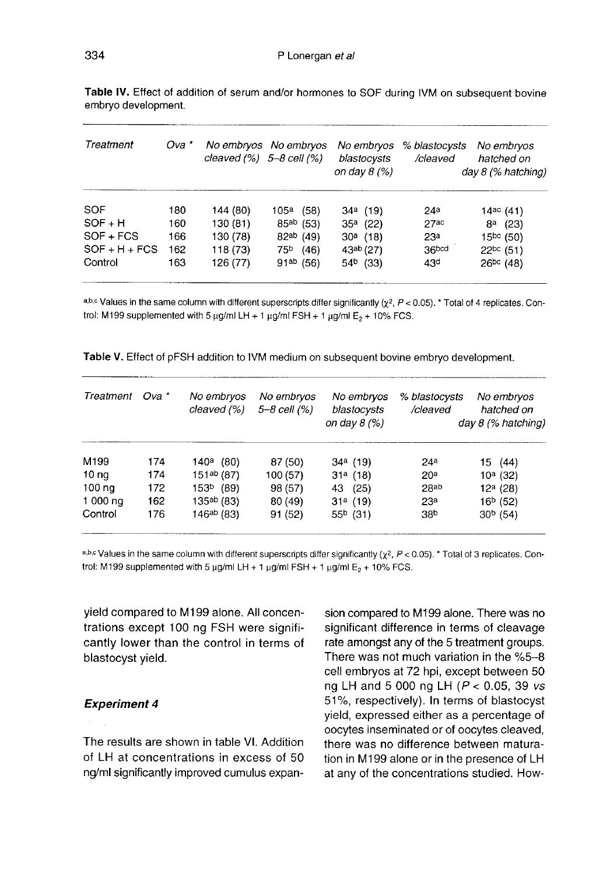| Treatment       | Ova * |          | No embryos No embryos<br>cleaved $(%)$ 5-8 cell $(%)$ | No embryos<br>blastocysts<br>on day $8(%)$ | % blastocysts<br>/cleaved | No embryos<br>hatched on<br>$day 8$ (% hatching) |
|-----------------|-------|----------|-------------------------------------------------------|--------------------------------------------|---------------------------|--------------------------------------------------|
| SOF             | 180   | 144 (80) | (58)<br>105ª                                          | $34^a$ (19)                                | 24a                       | 14ac(41)                                         |
| $SOF + H$       | 160   | 130 (81) | $85^{ab}$ (53)                                        | $35a$ (22)                                 | 27ac                      | $8^a$ (23)                                       |
| $SOF + FCS$     | 166   | 130 (78) | 82ab (49)                                             | $30^a$ (18)                                | 23 <sup>a</sup>           | $15^{bc}$ (50)                                   |
| $SOF + H + FCS$ | 162   | 118 (73) | $75b$ (46)                                            | 43ab (27)                                  | 36bcd                     | $22^{bc}$ (51)                                   |
| Control         | 163   | 126 (77) | $91^{ab}$ (56)                                        | $54b$ (33)                                 | 43 <sup>d</sup>           | $26^{bc}$ (48)                                   |

Table IV. Effect of addition of serum and/or hormones to SOF during IVM on subsequent bovine embryo development.

a,b,c Values in the same column with different superscripts differ significantly ( $\chi^2$ , P < 0.05). \* Total of 4 replicates. Control: M199 supplemented with 5  $\mu$ g/ml LH + 1  $\mu$ g/ml FSH + 1  $\mu$ g/ml E<sub>2</sub> + 10% FCS.

| Treatment        | Ova * | No embryos<br>cleaved (%) | No embryos<br>5-8 cell (%) | No embryos<br>blastocysts<br>on day $8(%)$ | % blastocysts<br>/cleaved | No embryos<br>hatched on<br>$day 8$ (% hatching) |
|------------------|-------|---------------------------|----------------------------|--------------------------------------------|---------------------------|--------------------------------------------------|
| M <sub>199</sub> | 174   | $140^a$ (80)              | 87 (50)                    | $34^a$ (19)                                | 24 <sup>a</sup>           | 15 (44)                                          |
| 10 <sub>ng</sub> | 174   | 151 <sup>ab</sup> (87)    | 100 (57)                   | $31a$ (18)                                 | 20 <sup>a</sup>           | $10a$ (32)                                       |
| 100 na           | 172   | 153 <sup>b</sup><br>(89)  | 98 (57)                    | (25)<br>43                                 | 28ab                      | $12a$ (28)                                       |
| 1 000 ng         | 162   | 135ab (83)                | 80 (49)                    | $31a$ (19)                                 | 23 <sup>a</sup>           | 16 <sup>b</sup> (52)                             |
| Control          | 176   | 146ab (83)                | 91(52)                     | $55b$ (31)                                 | 38b                       | $30b$ (54)                                       |

|  | Table V. Effect of pFSH addition to IVM medium on subsequent bovine embryo development. |
|--|-----------------------------------------------------------------------------------------|
|--|-----------------------------------------------------------------------------------------|

a.b.c Values in the same column with different superscripts differ significantly ( $\chi^2$ , P < 0.05). \* Total of 3 replicates. Control: M199 supplemented with 5  $\mu$ g/ml LH + 1  $\mu$ g/ml FSH + 1  $\mu$ g/ml E<sub>2</sub> + 10% FCS.

yield compared to M199 alone. All concentrations except 100 ng FSH were significantly lower than the control in terms of blastocyst yield.

## Experiment 4

The results are shown in table VI. Addition of LH at concentrations in excess of 50 ng/ml significantly improved cumulus expansion compared to M199 alone. There was no significant difference in terms of cleavage rate amongst any of the 5 treatment groups. There was not much variation in the %5-8 cell embryos at 72 hpi, except between 50 ng LH and 5 000 ng LH ( $P < 0.05$ , 39 vs 51%, respectively). In terms of blastocyst yield, expressed either as a percentage of oocytes inseminated or of oocytes cleaved, there was no difference between maturation in M199 alone or in the presence of LH at any of the concentrations studied. How-

334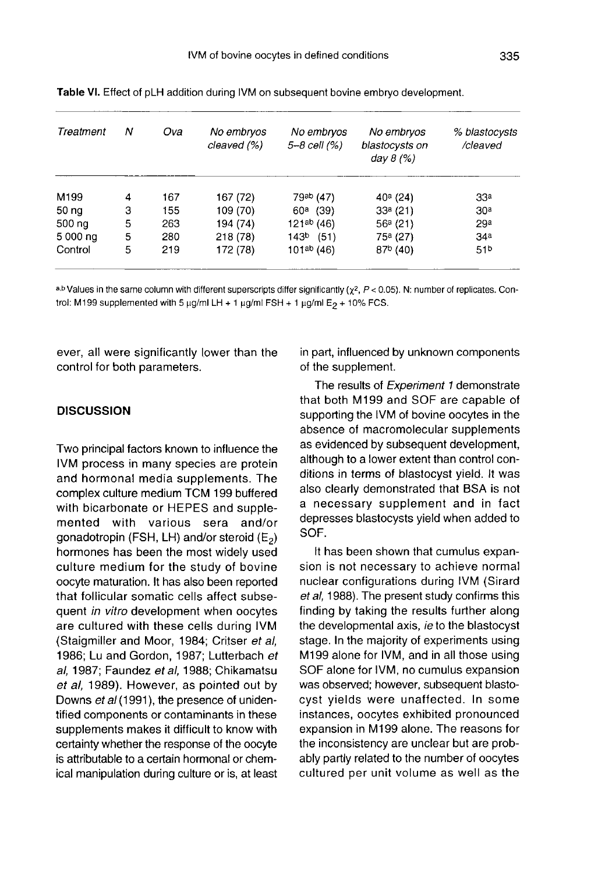| Treatment | Ν | Ova | No embryos<br>cleaved (%) | No embryos<br>$5 - 8$ cell $(% )$ | No embryos<br>blastocysts on<br>day $8(%)$ | % blastocysts<br>/cleaved |
|-----------|---|-----|---------------------------|-----------------------------------|--------------------------------------------|---------------------------|
| M199      | 4 | 167 | 167 (72)                  | 79ab (47)                         | $40^a$ (24)                                | 33 <sup>a</sup>           |
| 50 ng     | 3 | 155 | 109 (70)                  | $60^a$ (39)                       | $33a$ (21)                                 | 30 <sup>a</sup>           |
| 500 ng    | 5 | 263 | 194 (74)                  | 121ab (46)                        | 56a(21)                                    | 29a                       |
| 5 000 ng  | 5 | 280 | 218 (78)                  | 143 <sup>b</sup><br>(51)          | 75 <sup>a</sup> (27)                       | 34a                       |
| Control   | 5 | 219 | 172 (78)                  | 101 <sup>ab</sup> (46)            | $87b$ (40)                                 | 51 <sup>b</sup>           |

Table VI. Effect of pLH addition during IVM on subsequent bovine embryo development.

a,b Values in the same column with different superscripts differ significantly ( $\gamma^2$ , P < 0.05). N: number of replicates. Control: M199 supplemented with 5  $\mu$ g/ml LH + 1  $\mu$ g/ml FSH + 1  $\mu$ g/ml E<sub>2</sub> + 10% FCS.

ever, all were significantly lower than the control for both parameters.

#### **DISCUSSION**

Two principal factors known to influence the IVM process in many species are protein and hormonal media supplements. The complex culture medium TCM 199 buffered with bicarbonate or HEPES and supplemented with various sera and/or gonadotropin (FSH, LH) and/or steroid  $(E_2)$ hormones has been the most widely used culture medium for the study of bovine oocyte maturation. It has also been reported that follicular somatic cells affect subsequent in vitro development when oocytes are cultured with these cells during IVM (Staigmiller and Moor, 1984; Critser et al, 1986; Lu and Gordon, 1987; Lutterbach et al, 1987; Faundez et al, 1988; Chikamatsu et al, 1989). However, as pointed out by Downs et al (1991), the presence of unidentified components or contaminants in these supplements makes it difficult to know with certainty whether the response of the oocyte is attributable to a certain hormonal or chemical manipulation during culture or is, at least in part, influenced by unknown components of the supplement.

The results of Experiment 1 demonstrate that both M199 and SOF are capable of supporting the IVM of bovine oocytes in the absence of macromolecular supplements as evidenced by subsequent development, although to a lower extent than control conditions in terms of blastocyst yield. It was also clearly demonstrated that BSA is not a necessary supplement and in fact depresses blastocysts yield when added to SOF.

It has been shown that cumulus expansion is not necessary to achieve normal nuclear configurations during IVM (Sirard et al, 1988). The present study confirms this finding by taking the results further along the developmental axis, ie to the blastocyst stage. In the majority of experiments using M199 alone for IVM, and in all those using SOF alone for IVM, no cumulus expansion was observed; however, subsequent blastocyst yields were unaffected. In some instances, oocytes exhibited pronounced expansion in M199 alone. The reasons for the inconsistency are unclear but are probably partly related to the number of oocytes cultured per unit volume as well as the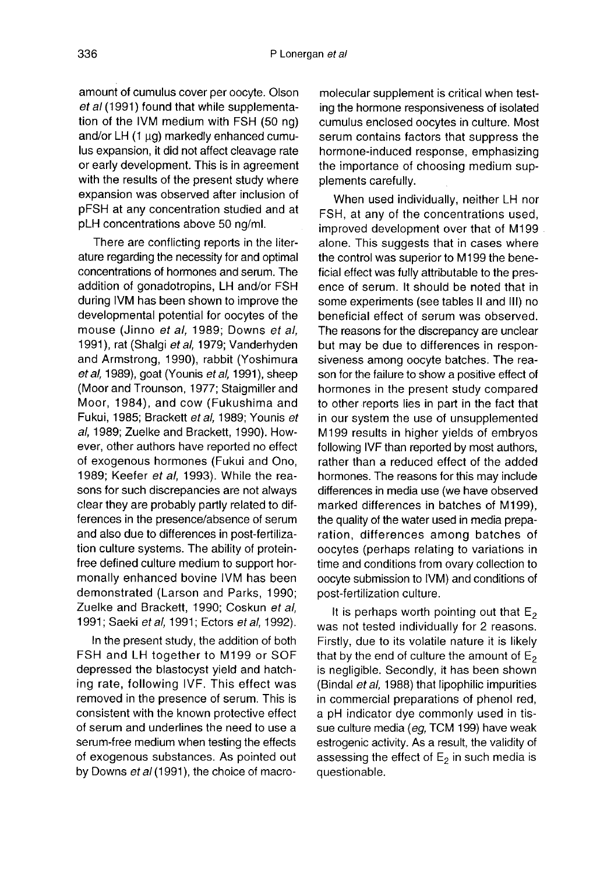amount of cumulus cover per oocyte. Olson et al (1991) found that while supplementation of the IVM medium with FSH (50 ng) and/or  $LH$  (1  $\mu$ g) markedly enhanced cumulus expansion, it did not affect cleavage rate or early development. This is in agreement with the results of the present study where expansion was observed after inclusion of pFSH at any concentration studied and at pLH concentrations above 50 ng/ml.

There are conflicting reports in the literature regarding the necessity for and optimal concentrations of hormones and serum. The addition of gonadotropins, LH and/or FSH during IVM has been shown to improve the developmental potential for oocytes of the mouse (Jinno et al, 1989; Downs et al, 1991), rat (Shalgi et al, 1979; Vanderhyden and Armstrong, 1990), rabbit (Yoshimura et al, 1989), goat (Younis et al, 1991), sheep (Moor and Trounson, 1977; Staigmiller and Moor, 1984), and cow (Fukushima and Fukui, 1985; Brackett et al, 1989; Younis et al, 1989; Zuelke and Brackett, 1990). However, other authors have reported no effect of exogenous hormones (Fukui and Ono, 1989; Keefer et al, 1993). While the reasons for such discrepancies are not always clear they are probably partly related to differences in the presence/absence of serum and also due to differences in post-fertilization culture systems. The ability of proteinfree defined culture medium to support hormonally enhanced bovine IVM has been demonstrated (Larson and Parks, 1990; Zuelke and Brackett, 1990; Coskun et al, 1991; Saeki et al, 1991; Ectors et al, 1992).

In the present study, the addition of both FSH and LH together to M199 or SOF depressed the blastocyst yield and hatching rate, following IVF. This effect was removed in the presence of serum. This is consistent with the known protective effect of serum and underlines the need to use a serum-free medium when testing the effects of exogenous substances. As pointed out by Downs et al (1991), the choice of macromolecular supplement is critical when testing the hormone responsiveness of isolated cumulus enclosed oocytes in culture. Most serum contains factors that suppress the hormone-induced response, emphasizing the importance of choosing medium supplements carefully.

When used individually, neither LH nor FSH, at any of the concentrations used, improved development over that of M199 alone. This suggests that in cases where the control was superior to M 199 the beneficial effect was fully attributable to the presence of serum. It should be noted that in some experiments (see tables II and III) no beneficial effect of serum was observed. The reasons for the discrepancy are unclear but may be due to differences in responsiveness among oocyte batches. The reason for the failure to show a positive effect of hormones in the present study compared to other reports lies in part in the fact that in our system the use of unsupplemented M199 results in higher yields of embryos following IVF than reported by most authors, rather than a reduced effect of the added hormones. The reasons for this may include differences in media use (we have observed marked differences in batches of M199), the quality of the water used in media preparation, differences among batches of oocytes (perhaps relating to variations in time and conditions from ovary collection to oocyte submission to IVM) and conditions of post-fertilization culture.

It is perhaps worth pointing out that  $E_2$  was not tested individually for 2 reasons. Firstly, due to its volatile nature it is likely that by the end of culture the amount of  $E_2$ is negligible. Secondly, it has been shown (Bindal *et al.* 1988) that lipophilic impurities in commercial preparations of phenol red, a pH indicator dye commonly used in tissue culture media (eg, TCM 199) have weak estrogenic activity. As a result, the validity of assessing the effect of  $E_2$  in such media is questionable.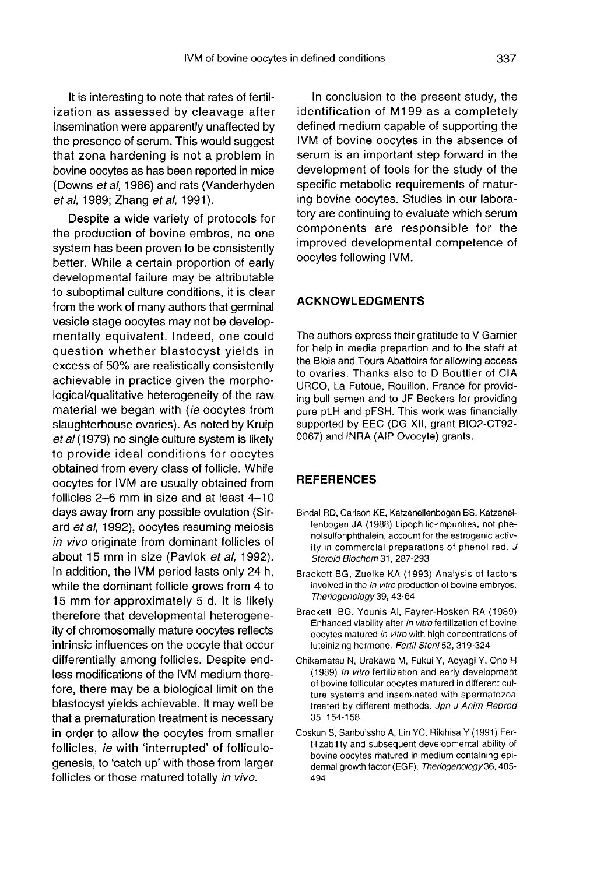It is interesting to note that rates of fertilization as assessed by cleavage after insemination were apparently unaffected by the presence of serum. This would suggest that zona hardening is not a problem in bovine oocytes as has been reported in mice (Downs et al, 1986) and rats (Vanderhyden et al, 1989; Zhang et al, 1991).

Despite a wide variety of protocols for the production of bovine embros, no one system has been proven to be consistently better. While a certain proportion of early developmental failure may be attributable to suboptimal culture conditions, it is clear from the work of many authors that germinal vesicle stage oocytes may not be developmentally equivalent. Indeed, one could question whether blastocyst yields in excess of 50% are realistically consistently achievable in practice given the morphological/qualitative heterogeneity of the raw material we began with (ie oocytes from slaughterhouse ovaries). As noted by Kruip et al (1979) no single culture system is likely to provide ideal conditions for oocytes obtained from every class of follicle. While oocytes for IVM are usually obtained from follicles 2-6 mm in size and at least 4-10 days away from any possible ovulation (Sirard et al, 1992), oocytes resuming meiosis in vivo originate from dominant follicles of about 15 mm in size (Pavlok et al, 1992). In addition, the IVM period lasts only 24 h, while the dominant follicle grows from 4 to 15 mm for approximately 5 d. It is likely therefore that developmental heterogeneity of chromosomally mature oocytes reflects intrinsic influences on the oocyte that occur differentially among follicles. Despite endless modifications of the IVM medium therefore, there may be a biological limit on the blastocyst yields achievable. It may well be that a prematuration treatment is necessary in order to allow the oocytes from smaller follicles, ie with 'interrupted' of folliculogenesis, to 'catch up' with those from larger follicles or those matured totally in vivo.

In conclusion to the present study, the identification of M199 as a completely defined medium capable of supporting the IVM of bovine oocytes in the absence of serum is an important step forward in the development of tools for the study of the specific metabolic requirements of maturing bovine oocytes. Studies in our laboratory are continuing to evaluate which serum components are responsible for the improved developmental competence of oocytes following IVM.

## ACKNOWLEDGMENTS

The authors express their gratitude to V Garnier for help in media prepartion and to the staff at the Blois and Tours Abattoirs for allowing access to ovaries. Thanks also to D Bouttier of CIA URCO, La Futoue, Rouillon, France for providing bull semen and to JF Beckers for providing pure pLH and pFSH. This work was financially supported by EEC (DG XII, grant B102-CT92- 0067) and INRA (AIP Ovocyte) grants.

#### **REFERENCES**

- Bindal RD, Carlson KE, Katzenellenbogen BS, Katzenellenbogen JA (1988) Lipophilic-impurities, not phenolsulfonphthalein, account for the estrogenic activity in commercial preparations of phenol red. J Steroid Biochem 31, 287-293
- Brackett BG, Zuelke KA (1993) Analysis of factors involved in the in vitro production of bovine embryos. Theriogenology39, 43-64
- Brackett BG, Younis Al, Fayrer-Hosken RA (1989) Enhanced viability after in vitro fertilization of bovine oocytes matured in vitro with high concentrations of luteinizing hormone. Fertil Steril 52, 319-324
- Chikamatsu N, Urakawa M, Fukui Y, Aoyagi Y, Ono H (1989) In vitro fertilization and early development of bovine follicular oocytes matured in different culture systems and inseminated with spermatozoa treated by different methods. Jpn J Anim Reprod 35, 154-158
- Coskun S, Sanbuissho A, Lin YC, Rikihisa Y (1991) Fertilizability and subsequent developmental ability of bovine oocytes matured in medium containing epi dermal growth factor (EGF). Theriogenology 36, 485-494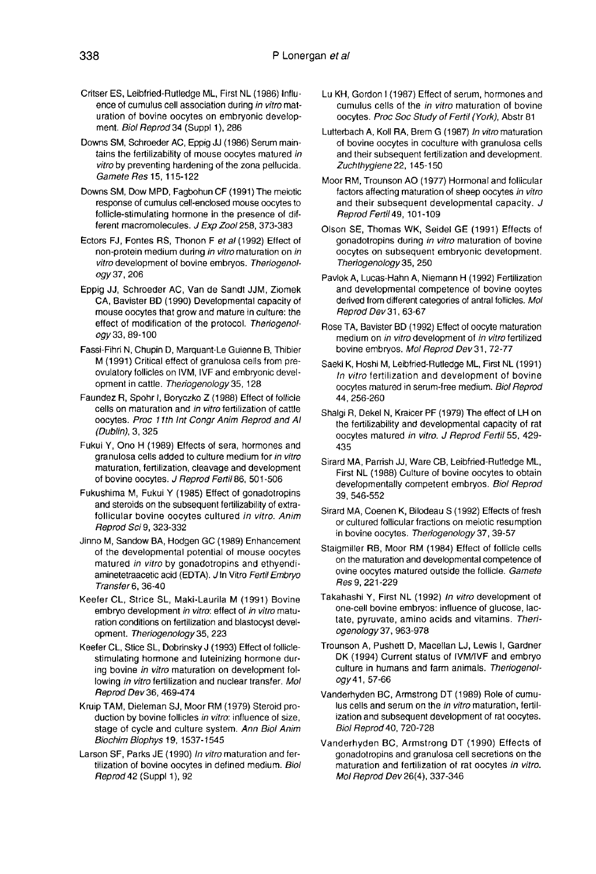- Critser ES, Leibfried-Rutledge ML, First NL (1986) Influence of cumulus cell association during in vitro maturation of bovine operates on embryonic development. Biol Reprod 34 (Suppl 1), 286
- Downs SM, Schroeder AC, Eppig JJ (1986) Serum maintains the fertilizability of mouse oocytes matured in vitro by preventing hardening of the zona pellucida. Gamete Res 15, 115-122
- Downs SM, Dow MPD, Fagbohun CF (1991) The meiotic response of cumulus cell-enclosed mouse oocytes to follicle-stimulating hormone in the presence of different macromolecules. J Exp Zool 258, 373-383
- Ectors FJ, Fontes RS, Thonon F et al (1992) Effect of non-protein medium during in vitro maturation on in vitro development of bovine embryos. Theriogenology37, 206
- Eppig JJ, Schroeder AC, Van de Sandt JJM, Ziomek CA, Bavister BD (1990) Developmental capacity of mouse oocytes that grow and mature in culture: the effect of modification of the protocol. Theriogenology 33, 89-100
- Fassi-Fihri N, Chupin D, Marquant-Le Guienne B, Thibier M (1991) Critical effect of granulosa cells from preovulatory follicles on IVM, IVF and embryonic development in cattle. Theriogenology 35, 128
- Faundez R, Spohr I, Boryczko Z (1988) Effect of follicle cells on maturation and in vitro fertilization of cattle oocytes. Proc 11th Int Congr Anim Reprod and AI (Dublin), 3, 325
- Fukui Y, Ono H (1989) Effects of sera, hormones and granulosa cells added to culture medium for in vitro maturation, fertilization, cleavage and development of bovine oocytes. J Reprod Fertil 86, 501-506
- Fukushima M, Fukui Y (1985) Effect of gonadotropins and steroids on the subsequent fertilizability of extrafollicular bovine oocytes cultured in vitro. Anim Reprod Sci 9, 323-332
- Jinno M, Sandow BA, Hodgen GC (1989) Enhancement of the developmental potential of mouse oocytes matured in vitro by gonadotropins and ethyendi aminetetraacetic acid (EDTA). J In Vitro Fertil Embryo Transfer6, 36-40 opment. Sandow BA, Hodgen GC (1<br>of the developmental potential<br>matured *in vitro* by gonadotrop<br>aminetetraacetic acid (EDTA). JIn<br>Transfer 6, 36-40<br>fer CL, Strice SL, Maki-Laurila<br>embryo development *in vitro*: effection c
- Keefer CL, Strice SL, Maki-Laurila M (1991) Bovine embryo development in vitro: effect of in vitro maturation conditions on fertilization and blastocyst devel-<br>opment. Theriogenology 35, 223
- Keefer CL, Stice SL, Dobrinsky J (1993) Effect of folliclestimulating hormone and luteinizing hormone during bovine in vitro maturation on development following in vitro fertilization and nuclear transfer. Mol Reprod Dev36, 469-474
- Kruip TAM, Dieleman SJ, Moor RM (1979) Steroid production by bovine follicles in vitro: influence of size, stage of cycle and culture system. Ann Biol Anim Biochim Biophys 19, 1537-1545
- Larson SF, Parks JE (1990) In vitro maturation and fertilization of bovine oocytes in defined medium. Biol Reprod 42 (Suppl 1), 92
- Lu KH, Gordon I (1987) Effect of serum, hormones and cumulus cells of the in vitro maturation of bovine oocytes. Proc Soc Study of Fertil (York), Abstr 81
- Lutterbach A, Koll RA, Brem G (1987) In vitro maturation of bovine oocytes in coculture with granulosa cells and their subsequent fertilization and development. Zuchthygiene 22, 145-150
- Moor RM, Trounson AO (1977) Hormonal and follicular factors affecting maturation of sheep oocytes in vitro and their subsequent developmental capacity. J Reprod Fertil49, 101-109
- Olson SE, Thomas WK, Seidel GE (1991) Effects of gonadotropins during in vitro maturation of bovine oocytes on subsequent embryonic development. Theriogenology 35, 250
- Pavlok A, Lucas-Hahn A, Niemann H (1992) Fertilization and developmental competence of bovine ooytes derived from different categories of antral follicles. Mol Reprod Dev31, 63-67
- Rose TA, Bavister BD (1992) Effect of oocyte maturation medium on in vitro development of in vitro fertilized bovine embryos. Mol Reprod Dev 31, 72-77
- Saeki K, Hoshi M, Leibfried-Rutiedge ML, First NL (1991) In vitro fertilization and development of bovine oocytes matured in serum-free medium. Biol Reprod 44, 256-260
- Shalgi R, Dekel N, Kraicer PF (1979) The effect of LH on the fertilizability and developmental capacity of rat oocytes matured in vitro. J Reprod Fertil 55, 429-435
- Sirard MA, Parrish JJ, Ware CB, Leibfried-Rutledge ML, First NL (1988) Culture of bovine oocytes to obtain developmentally competent embryos. Biol Reprod 39, 546-552
- Sirard MA, Coenen K, Bilodeau S (1992) Effects of fresh or cultured follicular fractions on meiotic resumption in bovine oocytes. Theriogenology 37, 39-57
- Staigmiller RB, Moor RM (1984) Effect of follicle cells on the maturation and developmental competence of ovine oocytes matured outside the follicle. Gamete Res 9, 221-229
- Takahashi Y, First NL (1992) In vitro development of one-cell bovine embryos: influence of glucose, lactate, pyruvate, amino acids and vitamins. Theriogenology 37, 963-978
- Trounson A, Pushett D, Macellan LJ, Lewis I, Gardner DK (1994) Current status of IVM/IVF and embryo culture in humans and farm animals. Theriogenology 41, 57-66
- Vanderhyden BC, Armstrong DT (1989) Role of cumulus cells and serum on the in vitro maturation, fertilization and subsequent development of rat oocytes. Biol Reprod 40, 720-728
- Vanderhyden BC, Armstrong DT (1990) Effects of gonadotropins and granulosa cell secretions on the maturation and fertilization of rat oocytes in vitro. Mol Reprod Dev 26(4), 337-346